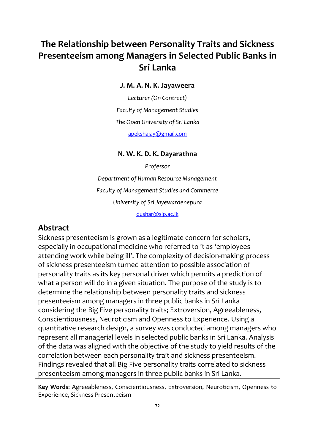# **The Relationship between Personality Traits and Sickness Presenteeism among Managers in Selected Public Banks in Sri Lanka**

**J. M. A. N. K. Jayaweera**

*Lecturer (On Contract) Faculty of Management Studies The Open University of Sri Lanka* [apekshajay@gmail.com](mailto:apekshajay@gmail.com)

# **N. W. K. D. K. Dayarathna**

*Professor Department of Human Resource Management Faculty of Management Studies and Commerce University of Sri Jayewardenepura* [dushar@sjp.ac.lk](mailto:dushar@sjp.ac.lk)

# **Abstract**

Sickness presenteeism is grown as a legitimate concern for scholars, especially in occupational medicine who referred to it as 'employees attending work while being ill'. The complexity of decision-making process of sickness presenteeism turned attention to possible association of personality traits as its key personal driver which permits a prediction of what a person will do in a given situation. The purpose of the study is to determine the relationship between personality traits and sickness presenteeism among managers in three public banks in Sri Lanka considering the Big Five personality traits; Extroversion, Agreeableness, Conscientiousness, Neuroticism and Openness to Experience. Using a quantitative research design, a survey was conducted among managers who represent all managerial levels in selected public banks in Sri Lanka. Analysis of the data was aligned with the objective of the study to yield results of the correlation between each personality trait and sickness presenteeism. Findings revealed that all Big Five personality traits correlated to sickness presenteeism among managers in three public banks in Sri Lanka.

**Key Words**: Agreeableness, Conscientiousness, Extroversion, Neuroticism, Openness to Experience, Sickness Presenteeism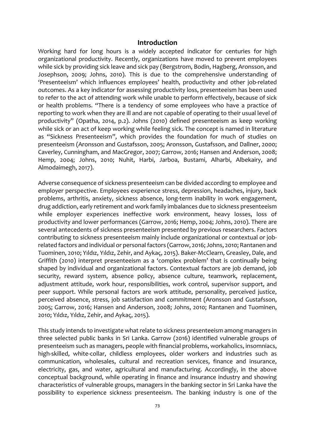#### **Introduction**

Working hard for long hours is a widely accepted indicator for centuries for high organizational productivity. Recently, organizations have moved to prevent employees while sick by providing sick leave and sick pay (Bergstrom, Bodin, Hagberg, Aronsson, and Josephson, 2009; Johns, 2010). This is due to the comprehensive understanding of 'Presenteeism' which influences employees' health, productivity and other job-related outcomes. As a key indicator for assessing productivity loss, presenteeism has been used to refer to the act of attending work while unable to perform effectively, because of sick or health problems. "There is a tendency of some employees who have a practice of reporting to work when they are ill and are not capable of operating to their usual level of productivity" (Opatha, 2014, p.2). Johns (2010) defined presenteeism as keep working while sick or an act of keep working while feeling sick. The concept is named in literature as "Sickness Presenteeism", which provides the foundation for much of studies on presenteeism (Aronsson and Gustafsson, 2005; Aronsson, Gustafsson, and Dallner, 2000; Caverley, Cunningham, and MacGregor, 2007; Garrow, 2016; Hansen and Anderson, 2008; Hemp, 2004; Johns, 2010; Nuhit, Harbi, Jarboa, Bustami, Alharbi, Albekairy, and Almodaimegh, 2017).

Adverse consequence of sickness presenteeism can be divided according to employee and employer perspective. Employees experience stress, depression, headaches, injury, back problems, arthritis, anxiety, sickness absence, long-term inability in work engagement, drug addiction, early retirement and work family imbalances due to sickness presenteeism while employer experiences ineffective work environment, heavy losses, loss of productivity and lower performances (Garrow, 2016; Hemp, 2004; Johns, 2010). There are several antecedents of sickness presenteeism presented by previous researchers. Factors contributing to sickness presenteeism mainly include organizational or contextual or jobrelated factors and individual or personal factors (Garrow, 2016; Johns, 2010; Rantanen and Tuominen, 2010; Yıldız, Yıldız, Zehir, and Aykaç, 2015). Baker-McClearn, Greasley, Dale, and Griffith (2010) interpret presenteeism as a 'complex problem' that is continually being shaped by individual and organizational factors. Contextual factors are job demand, job security, reward system, absence policy, absence culture, teamwork, replacement, adjustment attitude, work hour, responsibilities, work control, supervisor support, and peer support. While personal factors are work attitude, personality, perceived justice, perceived absence, stress, job satisfaction and commitment (Aronsson and Gustafsson, 2005; Garrow, 2016; Hansen and Anderson, 2008; Johns, 2010; Rantanen and Tuominen, 2010; Yıldız, Yıldız, Zehir, and Aykaç, 2015).

This study intends to investigate what relate to sickness presenteeism among managers in three selected public banks in Sri Lanka. Garrow (2016) identified vulnerable groups of presenteeism such as managers, people with financial problems, workaholics, insomniacs, high-skilled, white-collar, childless employees, older workers and industries such as communication, wholesales, cultural and recreation services, finance and insurance, electricity, gas, and water, agricultural and manufacturing. Accordingly, in the above conceptual background, while operating in finance and insurance industry and showing characteristics of vulnerable groups, managers in the banking sector in Sri Lanka have the possibility to experience sickness presenteeism. The banking industry is one of the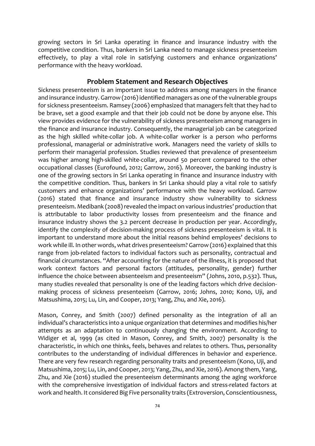growing sectors in Sri Lanka operating in finance and insurance industry with the competitive condition. Thus, bankers in Sri Lanka need to manage sickness presenteeism effectively, to play a vital role in satisfying customers and enhance organizations' performance with the heavy workload.

#### **Problem Statement and Research Objectives**

Sickness presenteeism is an important issue to address among managers in the finance and insurance industry. Garrow (2016) identified managers as one of the vulnerable groups for sickness presenteeism. Ramsey (2006) emphasized that managers felt that they had to be brave, set a good example and that their job could not be done by anyone else. This view provides evidence for the vulnerability of sickness presenteeism among managers in the finance and insurance industry. Consequently, the managerial job can be categorized as the high skilled white-collar job. A white-collar worker is a person who performs professional, managerial or administrative work. Managers need the variety of skills to perform their managerial profession. Studies reviewed that prevalence of presenteeism was higher among high-skilled white-collar, around 50 percent compared to the other occupational classes (Eurofound, 2012; Garrow, 2016). Moreover, the banking industry is one of the growing sectors in Sri Lanka operating in finance and insurance industry with the competitive condition. Thus, bankers in Sri Lanka should play a vital role to satisfy customers and enhance organizations' performance with the heavy workload. Garrow (2016) stated that finance and insurance industry show vulnerability to sickness presenteeism. Medibank (2008) revealed the impact on various industries' production that is attributable to labor productivity losses from presenteeism and the finance and insurance industry shows the 3.2 percent decrease in production per year. Accordingly, identify the complexity of decision-making process of sickness presenteeism is vital. It is important to understand more about the initial reasons behind employees' decisions to work while ill. In other words, what drives presenteeism? Garrow (2016) explained that this range from job-related factors to individual factors such as personality, contractual and financial circumstances. "After accounting for the nature of the illness, it is proposed that work context factors and personal factors (attitudes, personality, gender) further influence the choice between absenteeism and presenteeism" (Johns, 2010, p.532). Thus, many studies revealed that personality is one of the leading factors which drive decisionmaking process of sickness presenteeism (Garrow, 2016; Johns, 2010; Kono, Uji, and Matsushima, 2015; Lu, Lin, and Cooper, 2013; Yang, Zhu, and Xie, 2016).

Mason, Conrey, and Smith (2007) defined personality as the integration of all an individual's characteristics into a unique organization that determines and modifies his/her attempts as an adaptation to continuously changing the environment. According to Widiger et al, 1999 (as cited in Mason, Conrey, and Smith, 2007) personality is the characteristic, in which one thinks, feels, behaves and relates to others. Thus, personality contributes to the understanding of individual differences in behavior and experience. There are very few research regarding personality traits and presenteeism (Kono, Uji, and Matsushima, 2015; Lu, Lin, and Cooper, 2013; Yang, Zhu, and Xie, 2016). Among them, Yang, Zhu, and Xie (2016) studied the presenteeism determinants among the aging workforce with the comprehensive investigation of individual factors and stress-related factors at work and health. It considered Big Five personality traits (Extroversion, Conscientiousness,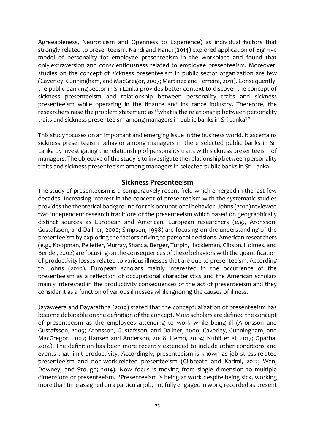Agreeableness, Neuroticism and Openness to Experience) as individual factors that strongly related to presenteeism. Nandi and Nandi (2014) explored application of Big Five model of personality for employee presenteeism in the workplace and found that only extraversion and conscientiousness related to employee presenteeism. Moreover, studies on the concept of sickness presenteeism in public sector organization are few (Caverley, Cunningham, and MacGregor, 2007; Martinez and Ferreira, 2011). Consequently, the public banking sector in Sri Lanka provides better context to discover the concept of sickness presenteeism and relationship between personality traits and sickness presenteeism while operating in the finance and insurance industry. Therefore, the researchers raise the problem statement as "what is the relationship between personality traits and sickness presenteeism among managers in public banks in Sri Lanka?"

This study focuses on an important and emerging issue in the business world. It ascertains sickness presenteeism behavior among managers in there selected public banks in Sri Lanka by investigating the relationship of personality traits with sickness presenteeism of managers. The objective of the study is to investigate the relationship between personality traits and sickness presenteeism among managers in selected public banks in Sri Lanka.

#### **Sickness Presenteeism**

The study of presenteeism is a comparatively recent field which emerged in the last few decades. Increasing interest in the concept of presenteeism with the systematic studies provides the theoretical background for this occupational behavior. Johns (2010) reviewed two independent research traditions of the presenteeism which based on geographically distinct sources as European and American. European researchers (e.g., Aronsson, Gustafsson, and Dallner, 2000; Simpson, 1998) are focusing on the understanding of the presenteeism by exploring the factors driving to personal decisions. American researchers (e.g., Koopman, Pelletier, Murray, Sharda, Berger, Turpin, Hackleman, Gibson, Holmes, and Bendel, 2002) are focusing on the consequences of these behaviors with the quantification of productivity losses related to various illnesses that are due to presenteeism. According to Johns (2010), European scholars mainly interested in the occurrence of the presenteeism as a reflection of occupational characteristics and the American scholars mainly interested in the productivity consequences of the act of presenteeism and they consider it as a function of various illnesses while ignoring the causes of illness.

Jayaweera and Dayarathna (2019) stated that the conceptualization of presenteeism has become debatable on the definition of the concept. Most scholars are defined the concept of presenteeism as the employees attending to work while being ill (Aronsson and Gustafsson, 2005; Aronsson, Gustafsson, and Dallner, 2000; Caverley, Cunningham, and MacGregor, 2007; Hansen and Anderson, 2008; Hemp, 2004; Nuhit et al, 2017; Opatha, 2014). The definition has been more recently extended to include other conditions and events that limit productivity. Accordingly, presenteeism is known as job stress-related presenteeism and non-work-related presenteeism (Gilbreath and Karimi, 2012; Wan, Downey, and Stough; 2014). Now focus is moving from single dimension to multiple dimensions of presenteeism. "Presenteeism is being at work despite being sick, working more than time assigned on a particular job, not fully engaged in work, recorded as present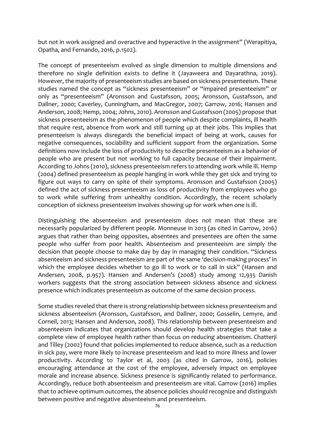but not in work assigned and overactive and hyperactive in the assignment" (Werapitiya, Opatha, and Fernando, 2016, p.1502).

The concept of presenteeism evolved as single dimension to multiple dimensions and therefore no single definition exists to define it (Jayaweera and Dayarathna, 2019). However, the majority of presenteeism studies are based on sickness presenteeism. These studies named the concept as "sickness presenteeism" or "impaired presenteeism" or only as "presenteeism" (Aronsson and Gustafsson, 2005; Aronsson, Gustafsson, and Dallner, 2000; Caverley, Cunningham, and MacGregor, 2007; Garrow, 2016; Hansen and Anderson, 2008; Hemp, 2004; Johns, 2010). Aronsson and Gustafsson (2005) propose that sickness presenteeism as the phenomenon of people which despite complaints, ill health that require rest, absence from work and still turning up at their jobs. This implies that presenteeism is always disregards the beneficial impact of being at work, causes for negative consequences, sociability and sufficient support from the organization. Some definitions now include the loss of productivity to describe presenteeism as a behavior of people who are present but not working to full capacity because of their impairment. According to Johns (2010), sickness presenteeism refers to attending work while ill. Hemp (2004) defined presenteeism as people hanging in work while they get sick and trying to figure out ways to carry on spite of their symptoms. Aronsson and Gustafsson (2005) defined the act of sickness presenteeism as loss of productivity from employees who go to work while suffering from unhealthy condition. Accordingly, the recent scholarly conception of sickness presenteeism involves showing up for work when one is ill.

Distinguishing the absenteeism and presenteeism does not mean that these are necessarily popularized by different people. Monneuse in 2013 (as cited in Garrow, 2016) argues that rather than being opposites, absentees and presentees are often the same people who suffer from poor health. Absenteeism and presenteeism are simply the decision that people choose to make day by day in managing their condition. "Sickness absenteeism and sickness presenteeism are part of the same 'decision-making process' in which the employee decides whether to go ill to work or to call in sick" (Hansen and Andersen, 2008, p.957). Hansen and Andersen's (2008) study among 12,935 Danish workers suggests that the strong association between sickness absence and sickness presence which indicates presenteeism as outcome of the same decision process.

Some studies reveled that there is strong relationship between sickness presenteeism and sickness absenteeism (Aronsson, Gustafsson, and Dallner, 2000; Gosselin, Lemyre, and Corneil, 2013; Hansen and Anderson, 2008). This relationship between presenteeism and absenteeism indicates that organizations should develop health strategies that take a complete view of employee health rather than focus on reducing absenteeism. Chatterji and Tilley (2002) found that policies implemented to reduce absence, such as a reduction in sick pay, were more likely to increase presenteeism and lead to more illness and lower productivity. According to Taylor et al, 2003 (as cited in Garrow, 2016), policies encouraging attendance at the cost of the employee, adversely impact on employee morale and increase absence. Sickness presence is significantly related to performance. Accordingly, reduce both absenteeism and presenteeism are vital. Garrow (2016) implies that to achieve optimum outcomes, the absence policies should recognize and distinguish between positive and negative absenteeism and presenteeism.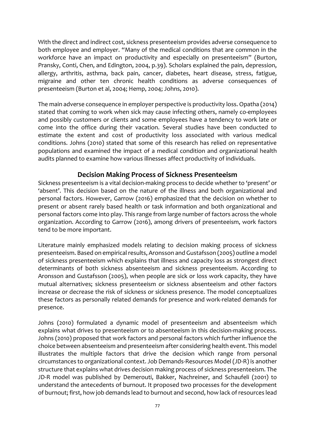With the direct and indirect cost, sickness presenteeism provides adverse consequence to both employee and employer. "Many of the medical conditions that are common in the workforce have an impact on productivity and especially on presenteeism" (Burton, Pransky, Conti, Chen, and Edington, 2004, p.39). Scholars explained the pain, depression, allergy, arthritis, asthma, back pain, cancer, diabetes, heart disease, stress, fatigue, migraine and other ten chronic health conditions as adverse consequences of presenteeism (Burton et al, 2004; Hemp, 2004; Johns, 2010).

The main adverse consequence in employer perspective is productivity loss. Opatha (2014) stated that coming to work when sick may cause infecting others, namely co-employees and possibly customers or clients and some employees have a tendency to work late or come into the office during their vacation. Several studies have been conducted to estimate the extent and cost of productivity loss associated with various medical conditions. Johns (2010) stated that some of this research has relied on representative populations and examined the impact of a medical condition and organizational health audits planned to examine how various illnesses affect productivity of individuals.

#### **Decision Making Process of Sickness Presenteeism**

Sickness presenteeism is a vital decision-making process to decide whether to 'present' or 'absent'. This decision based on the nature of the illness and both organizational and personal factors. However, Garrow (2016) emphasized that the decision on whether to present or absent rarely based health or task information and both organizational and personal factors come into play. This range from large number of factors across the whole organization. According to Garrow (2016), among drivers of presenteeism, work factors tend to be more important.

Literature mainly emphasized models relating to decision making process of sickness presenteeism. Based on empirical results, Aronsson and Gustafsson (2005) outline a model of sickness presenteeism which explains that illness and capacity loss as strongest direct determinants of both sickness absenteeism and sickness presenteeism. According to Aronsson and Gustafsson (2005), when people are sick or loss work capacity, they have mutual alternatives; sickness presenteeism or sickness absenteeism and other factors increase or decrease the risk of sickness or sickness presence. The model conceptualizes these factors as personally related demands for presence and work-related demands for presence.

Johns (2010) formulated a dynamic model of presenteeism and absenteeism which explains what drives to presenteeism or to absenteeism in this decision-making process. Johns (2010) proposed that work factors and personal factors which further influence the choice between absenteeism and presenteeism after considering health event. This model illustrates the multiple factors that drive the decision which range from personal circumstances to organizational context. Job Demands-Resources Model (JD-R) is another structure that explains what drives decision making process of sickness presenteeism. The JD-R model was published by Demerouti, Bakker, Nachreiner, and Schaufeli (2001) to understand the antecedents of burnout. It proposed two processes for the development of burnout; first, how job demands lead to burnout and second, how lack of resources lead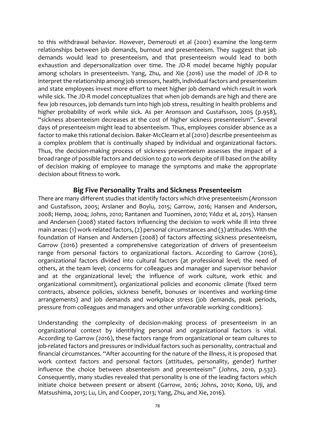to this withdrawal behavior. However, Demerouti et al (2001) examine the long-term relationships between job demands, burnout and presenteeism. They suggest that job demands would lead to presenteeism, and that presenteeism would lead to both exhaustion and depersonalization over time. The JD-R model became highly popular among scholars in presenteeism. Yang, Zhu, and Xie (2016) use the model of JD-R to interpret the relationship among job stressors, health, individual factors and presenteeism and state employees invest more effort to meet higher job demand which result in work while sick. The JD-R model conceptualizes that when job demands are high and there are few job resources, job demands turn into high job stress, resulting in health problems and higher probability of work while sick. As per Aronsson and Gustafsson, 2005 (p.958), "sickness absenteeism decreases at the cost of higher sickness presenteeism". Several days of presenteeism might lead to absenteeism. Thus, employees consider absence as a factor to make this rational decision. Baker-McClearn et al (2010) describe presenteeism as a complex problem that is continually shaped by individual and organizational factors. Thus, the decision-making process of sickness presenteeism assesses the impact of a broad range of possible factors and decision to go to work despite of ill based on the ability of decision making of employee to manage the symptoms and make the appropriate decision about fitness to work.

#### **Big Five Personality Traits and Sickness Presenteeism**

There are many different studies that identify factors which drive presenteeism (Aronsson and Gustafsson, 2005; Arslaner and Boylu, 2015; Garrow, 2016; Hansen and Anderson, 2008; Hemp, 2004; Johns, 2010; Rantanen and Tuominen, 2010; Yıldız et al, 2015). Hansen and Andersen (2008) stated factors influencing the decision to work while ill into three main areas: (1) work-related factors, (2) personal circumstances and (3) attitudes. With the foundation of Hansen and Andersen (2008) of factors affecting sickness presenteeism, Garrow (2016) presented a comprehensive categorization of drivers of presenteeism range from personal factors to organizational factors. According to Garrow (2016), organizational factors divided into cultural factors (at professional level; the need of others, at the team level; concerns for colleagues and manager and supervisor behavior and at the organizational level; the influence of work culture, work ethic and organizational commitment), organizational policies and economic climate (fixed term contracts, absence policies, sickness benefit, bonuses or incentives and working-time arrangements) and job demands and workplace stress (job demands, peak periods, pressure from colleagues and managers and other unfavorable working conditions).

Understanding the complexity of decision-making process of presenteeism in an organizational context by identifying personal and organizational factors is vital. According to Garrow (2016), these factors range from organizational or team cultures to job-related factors and pressures or individual factors such as personality, contractual and financial circumstances. "After accounting for the nature of the illness, it is proposed that work context factors and personal factors (attitudes, personality, gender) further influence the choice between absenteeism and presenteeism" (Johns, 2010, p.532). Consequently, many studies revealed that personality is one of the leading factors which initiate choice between present or absent (Garrow, 2016; Johns, 2010; Kono, Uji, and Matsushima, 2015; Lu, Lin, and Cooper, 2013; Yang, Zhu, and Xie, 2016).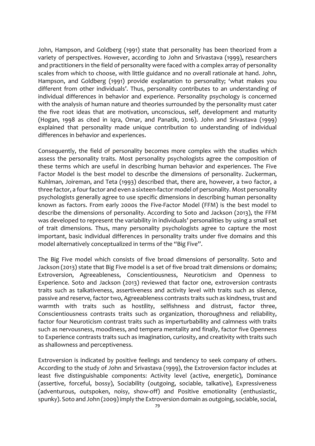John, Hampson, and Goldberg (1991) state that personality has been theorized from a variety of perspectives. However, according to John and Srivastava (1999), researchers and practitioners in the field of personality were faced with a complex array of personality scales from which to choose, with little guidance and no overall rationale at hand. John, Hampson, and Goldberg (1991) provide explanation to personality; 'what makes you different from other individuals'. Thus, personality contributes to an understanding of individual differences in behavior and experience. Personality psychology is concerned with the analysis of human nature and theories surrounded by the personality must cater the five root ideas that are motivation, unconscious, self, development and maturity (Hogan, 1998 as cited in Iqra, Omar, and Panatik, 2016). John and Srivastava (1999) explained that personality made unique contribution to understanding of individual differences in behavior and experiences.

Consequently, the field of personality becomes more complex with the studies which assess the personality traits. Most personality psychologists agree the composition of these terms which are useful in describing human behavior and experiences. The Five Factor Model is the best model to describe the dimensions of personality. Zuckerman, Kuhlman, Joireman, and Teta (1993) described that, there are, however, a two factor, a three factor, a four factor and even a sixteen-factor model of personality. Most personality psychologists generally agree to use specific dimensions in describing human personality known as factors. From early 2000s the Five-Factor Model (FFM) is the best model to describe the dimensions of personality. According to Soto and Jackson (2013), the FFM was developed to represent the variability in individuals' personalities by using a small set of trait dimensions. Thus, many personality psychologists agree to capture the most important, basic individual differences in personality traits under five domains and this model alternatively conceptualized in terms of the "Big Five".

The Big Five model which consists of five broad dimensions of personality. Soto and Jackson (2013) state that Big Five model is a set of five broad trait dimensions or domains; Extroversion, Agreeableness, Conscientiousness, Neuroticism and Openness to Experience. Soto and Jackson (2013) reviewed that factor one, extroversion contrasts traits such as talkativeness, assertiveness and activity level with traits such as silence, passive and reserve, factor two, Agreeableness contrasts traits such as kindness, trust and warmth with traits such as hostility, selfishness and distrust, factor three, Conscientiousness contrasts traits such as organization, thoroughness and reliability, factor four Neuroticism contrast traits such as imperturbability and calmness with traits such as nervousness, moodiness, and tempera mentality and finally, factor five Openness to Experience contrasts traits such as imagination, curiosity, and creativity with traits such as shallowness and perceptiveness.

Extroversion is indicated by positive feelings and tendency to seek company of others. According to the study of John and Srivastava (1999), the Extroversion factor includes at least five distinguishable components: Activity level (active, energetic), Dominance (assertive, forceful, bossy), Sociability (outgoing, sociable, talkative), Expressiveness (adventurous, outspoken, noisy, show-off) and Positive emotionality (enthusiastic, spunky). Soto and John (2009) imply the Extroversion domain as outgoing, sociable, social,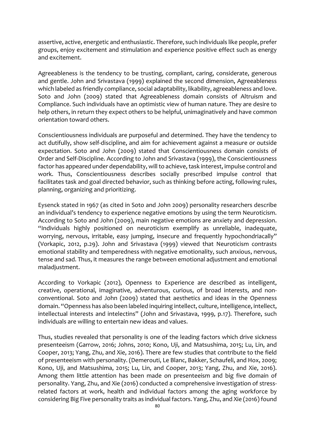assertive, active, energetic and enthusiastic. Therefore, such individuals like people, prefer groups, enjoy excitement and stimulation and experience positive effect such as energy and excitement.

Agreeableness is the tendency to be trusting, compliant, caring, considerate, generous and gentle. John and Srivastava (1999) explained the second dimension, Agreeableness which labeled as friendly compliance, social adaptability, likability, agreeableness and love. Soto and John (2009) stated that Agreeableness domain consists of Altruism and Compliance. Such individuals have an optimistic view of human nature. They are desire to help others, in return they expect others to be helpful, unimaginatively and have common orientation toward others.

Conscientiousness individuals are purposeful and determined. They have the tendency to act dutifully, show self-discipline, and aim for achievement against a measure or outside expectation. Soto and John (2009) stated that Conscientiousness domain consists of Order and Self-Discipline. According to John and Srivastava (1999), the Conscientiousness factor has appeared under dependability, will to achieve, task interest, impulse control and work. Thus, Conscientiousness describes socially prescribed impulse control that facilitates task and goal directed behavior, such as thinking before acting, following rules, planning, organizing and prioritizing.

Eysenck stated in 1967 (as cited in Soto and John 2009) personality researchers describe an individual's tendency to experience negative emotions by using the term Neuroticism. According to Soto and John (2009), main negative emotions are anxiety and depression. "Individuals highly positioned on neuroticism exemplify as unreliable, inadequate, worrying, nervous, irritable, easy jumping, insecure and frequently hypochondriacally" (Vorkapic, 2012, p.29). John and Srivastava (1999) viewed that Neuroticism contrasts emotional stability and temperedness with negative emotionality, such anxious, nervous, tense and sad. Thus, it measures the range between emotional adjustment and emotional maladjustment.

According to Vorkapic (2012), Openness to Experience are described as intelligent, creative, operational, imaginative, adventurous, curious, of broad interests, and nonconventional. Soto and John (2009) stated that aesthetics and ideas in the Openness domain. "Openness has also been labeled inquiring intellect, culture, intelligence, intellect, intellectual interests and intelectins" (John and Srivastava, 1999, p.17). Therefore, such individuals are willing to entertain new ideas and values.

Thus, studies revealed that personality is one of the leading factors which drive sickness presenteeism (Garrow, 2016; Johns, 2010; Kono, Uji, and Matsushima, 2015; Lu, Lin, and Cooper, 2013; Yang, Zhu, and Xie, 2016). There are few studies that contribute to the field of presenteeism with personality. (Demerouti, Le Blanc, Bakker, Schaufeli, and Hox, 2009; Kono, Uji, and Matsushima, 2015; Lu, Lin, and Cooper, 2013; Yang, Zhu, and Xie, 2016). Among them little attention has been made on presenteeism and big five domain of personality. Yang, Zhu, and Xie (2016) conducted a comprehensive investigation of stressrelated factors at work, health and individual factors among the aging workforce by considering Big Five personality traits as individual factors. Yang, Zhu, and Xie (2016) found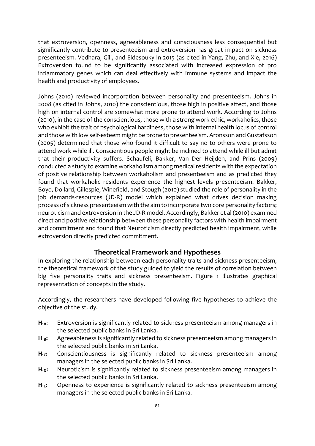that extroversion, openness, agreeableness and consciousness less consequential but significantly contribute to presenteeism and extroversion has great impact on sickness presenteeism. Vedhara, Gill, and Eldesouky in 2015 (as cited in Yang, Zhu, and Xie, 2016) Extroversion found to be significantly associated with increased expression of pro inflammatory genes which can deal effectively with immune systems and impact the health and productivity of employees.

Johns (2010) reviewed incorporation between personality and presenteeism. Johns in 2008 (as cited in Johns, 2010) the conscientious, those high in positive affect, and those high on internal control are somewhat more prone to attend work. According to Johns (2010), in the case of the conscientious, those with a strong work ethic, workaholics, those who exhibit the trait of psychological hardiness, those with internal health locus of control and those with low self-esteem might be prone to presenteeism. Aronsson and Gustafsson (2005) determined that those who found it difficult to say no to others were prone to attend work while ill. Conscientious people might be inclined to attend while ill but admit that their productivity suffers. Schaufeli, Bakker, Van Der Heijden, and Prins (2009) conducted a study to examine workaholism among medical residents with the expectation of positive relationship between workaholism and presenteeism and as predicted they found that workaholic residents experience the highest levels presenteeism. Bakker, Boyd, Dollard, Gillespie, Winefield, and Stough (2010) studied the role of personality in the job demands-resources (JD-R) model which explained what drives decision making process of sickness presenteeism with the aim to incorporate two core personality factors; neuroticism and extroversion in the JD-R model. Accordingly, Bakker et al (2010) examined direct and positive relationship between these personality factors with health impairment and commitment and found that Neuroticism directly predicted health impairment, while extroversion directly predicted commitment.

## **Theoretical Framework and Hypotheses**

In exploring the relationship between each personality traits and sickness presenteeism, the theoretical framework of the study guided to yield the results of correlation between big five personality traits and sickness presenteeism. Figure 1 illustrates graphical representation of concepts in the study.

Accordingly, the researchers have developed following five hypotheses to achieve the objective of the study.

- **H1A**: Extroversion is significantly related to sickness presenteeism among managers in the selected public banks in Sri Lanka.
- **H1B:** Agreeableness is significantly related to sickness presenteeism among managers in the selected public banks in Sri Lanka.
- H<sub>1C</sub>: Conscientiousness is significantly related to sickness presenteeism among managers in the selected public banks in Sri Lanka.
- H<sub>1D</sub>: Neuroticism is significantly related to sickness presenteeism among managers in the selected public banks in Sri Lanka.
- H<sub>1E</sub>: Openness to experience is significantly related to sickness presenteeism among managers in the selected public banks in Sri Lanka.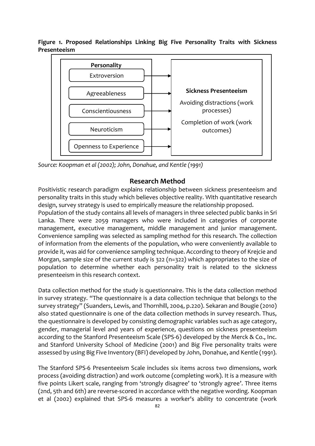**Figure 1. Proposed Relationships Linking Big Five Personality Traits with Sickness Presenteeism**



*Source: Koopman et al (2002); John, Donahue, and Kentle (1991)*

## **Research Method**

Positivistic research paradigm explains relationship between sickness presenteeism and personality traits in this study which believes objective reality. With quantitative research design, survey strategy is used to empirically measure the relationship proposed.

Population of the study contains all levels of managers in three selected public banks in Sri Lanka. There were 2059 managers who were included in categories of corporate management, executive management, middle management and junior management. Convenience sampling was selected as sampling method for this research. The collection of information from the elements of the population, who were conveniently available to provide it, was aid for convenience sampling technique. According to theory of Krejcie and Morgan, sample size of the current study is 322 (n=322) which appropriates to the size of population to determine whether each personality trait is related to the sickness presenteeism in this research context.

Data collection method for the study is questionnaire. This is the data collection method in survey strategy. "The questionnaire is a data collection technique that belongs to the survey strategy" (Suanders, Lewis, and Thornhill, 2004, p.220). Sekaran and Bougie (2010) also stated questionnaire is one of the data collection methods in survey research. Thus, the questionnaire is developed by consisting demographic variables such as age category, gender, managerial level and years of experience, questions on sickness presenteeism according to the Stanford Presenteeism Scale (SPS-6) developed by the Merck & Co., Inc. and Stanford University School of Medicine (2001) and Big Five personality traits were assessed by using Big Five Inventory (BFI) developed by John, Donahue, and Kentle (1991).

The Stanford SPS-6 Presenteeism Scale includes six items across two dimensions, work process (avoiding distraction) and work outcome (completing work). It is a measure with five points Likert scale, ranging from 'strongly disagree' to 'strongly agree'. Three items (2nd, 5th and 6th) are reverse-scored in accordance with the negative wording. Koopman et al (2002) explained that SPS-6 measures a worker's ability to concentrate (work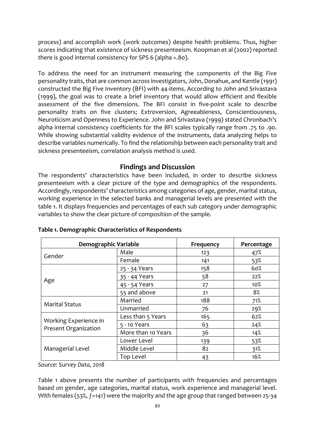process) and accomplish work (work outcomes) despite health problems. Thus, higher scores indicating that existence of sickness presenteeism. Koopman et al (2002) reported there is good internal consistency for SPS 6 (alpha =.80).

To address the need for an instrument measuring the components of the Big Five personality traits, that are common across investigators, John, Donahue, and Kentle (1991) constructed the Big Five Inventory (BFI) with 44-items. According to John and Srivastava (1999), the goal was to create a brief inventory that would allow efficient and flexible assessment of the five dimensions. The BFI consist in five-point scale to describe personality traits on five clusters; Extroversion, Agreeableness, Conscientiousness, Neuroticism and Openness to Experience. John and Srivastava (1999) stated Chronbach's alpha internal consistency coefficients for the BFI scales typically range from .75 to .90. While showing substantial validity evidence of the instruments, data analyzing helps to describe variables numerically. To find the relationship between each personality trait and sickness presenteeism, correlation analysis method is used.

#### **Findings and Discussion**

The respondents' characteristics have been included, in order to describe sickness presenteeism with a clear picture of the type and demographics of the respondents. Accordingly, respondents' characteristics among categories of age, gender, marital status, working experience in the selected banks and managerial levels are presented with the table 1. It displays frequencies and percentages of each sub category under demographic variables to show the clear picture of composition of the sample.

| Demographic Variable                          |                    | Frequency | Percentage |
|-----------------------------------------------|--------------------|-----------|------------|
| Gender                                        | Male               | 123       | 47%        |
|                                               | Female             | 141       | 53%        |
| Age                                           | 25 - 34 Years      | 158       | 60%        |
|                                               | 35 - 44 Years      | 58        | 22%        |
|                                               | 45 - 54 Years      | 27        | $10\%$     |
|                                               | 55 and above       | 21        | 8%         |
| <b>Marital Status</b>                         | Married            | 188       | 71%        |
|                                               | Unmarried          | 76        | 29%        |
| Working Experience in<br>Present Organization | Less than 5 Years  | 165       | 62%        |
|                                               | 5 - 10 Years       | 63        | 24%        |
|                                               | More than 10 Years | 36        | 14%        |
| Managerial Level                              | Lower Level        | 139       | 53%        |
|                                               | Middle Level       | 82        | 31%        |
|                                               | Top Level          | 43        | 16%        |

#### **Table 1. Demographic Characteristics of Respondents**

*Source: Survey Data, 2018*

Table 1 above presents the number of participants with frequencies and percentages based on gender, age categories, marital status, work experience and managerial level. With females (53%, f=141) were the majority and the age group that ranged between 25-34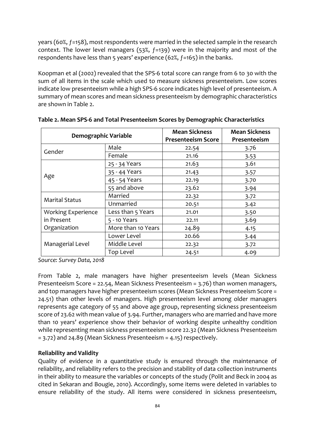years (60%, ƒ=158), most respondents were married in the selected sample in the research context. The lower level managers  $(53\%, f=139)$  were in the majority and most of the respondents have less than 5 years' experience (62%, ƒ=165) in the banks.

Koopman et al (2002) revealed that the SPS-6 total score can range from 6 to 30 with the sum of all items in the scale which used to measure sickness presenteeism. Low scores indicate low presenteeism while a high SPS-6 score indicates high level of presenteeism. A summary of mean scores and mean sickness presenteeism by demographic characteristics are shown in Table 2.

| <b>Demographic Variable</b>        |                   | <b>Mean Sickness</b><br><b>Presenteeism Score</b> | <b>Mean Sickness</b><br>Presenteeism |  |
|------------------------------------|-------------------|---------------------------------------------------|--------------------------------------|--|
| Gender                             | Male              | 22.54                                             | 3.76                                 |  |
|                                    | Female            | 21.16                                             | 3.53                                 |  |
| Age                                | 25 - 34 Years     | 21.63                                             | 3.61                                 |  |
|                                    | 35 - 44 Years     | 21.43                                             |                                      |  |
|                                    | 45 - 54 Years     | 22.19                                             | 3.70                                 |  |
|                                    | 55 and above      | 23.62                                             | 3.94                                 |  |
| <b>Marital Status</b>              | Married           | 22.32                                             | 3.72                                 |  |
|                                    | Unmarried         | 20.51                                             | 3.42                                 |  |
| <b>Working Experience</b>          | Less than 5 Years | 21.01                                             | 3.50                                 |  |
| in Present<br>5 - 10 Years         |                   | 22.11                                             | 3.69                                 |  |
| Organization<br>More than 10 Years |                   | 24.89                                             | 4.15                                 |  |
| Managerial Level                   | Lower Level       | 20.66                                             | 3.44                                 |  |
|                                    | Middle Level      | 22.32                                             | 3.72                                 |  |
|                                    | <b>Top Level</b>  | 24.51                                             | 4.09                                 |  |

**Table 2. Mean SPS-6 and Total Presenteeism Scores by Demographic Characteristics**

*Source: Survey Data, 2018*

From Table 2, male managers have higher presenteeism levels (Mean Sickness Presenteeism Score = 22.54, Mean Sickness Presenteeism = 3.76) than women managers, and top managers have higher presenteeism scores (Mean Sickness Presenteeism Score = 24.51) than other levels of managers. High presenteeism level among older managers represents age category of 55 and above age group, representing sickness presenteeism score of 23.62 with mean value of 3.94. Further, managers who are married and have more than 10 years' experience show their behavior of working despite unhealthy condition while representing mean sickness presenteeism score 22.32 (Mean Sickness Presenteeism = 3.72) and 24.89 (Mean Sickness Presenteeism = 4.15) respectively.

#### **Reliability and Validity**

Quality of evidence in a quantitative study is ensured through the maintenance of reliability, and reliability refers to the precision and stability of data collection instruments in their ability to measure the variables or concepts of the study (Polit and Beck in 2004 as cited in Sekaran and Bougie, 2010). Accordingly, some items were deleted in variables to ensure reliability of the study. All items were considered in sickness presenteeism,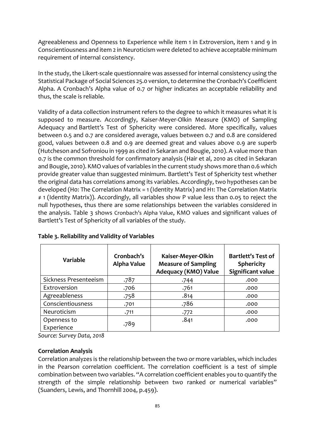Agreeableness and Openness to Experience while item 1 in Extroversion, item 1 and 9 in Conscientiousness and item 2 in Neuroticism were deleted to achieve acceptable minimum requirement of internal consistency.

In the study, the Likert-scale questionnaire was assessed for internal consistency using the Statistical Package of Social Sciences 25.0 version, to determine the Cronbach's Coefficient Alpha. A Cronbach's Alpha value of 0.7 or higher indicates an acceptable reliability and thus, the scale is reliable.

Validity of a data collection instrument refers to the degree to which it measures what it is supposed to measure. Accordingly, Kaiser-Meyer-Olkin Measure (KMO) of Sampling Adequacy and Bartlett's Test of Sphericity were considered. More specifically, values between 0.5 and 0.7 are considered average, values between 0.7 and 0.8 are considered good, values between 0.8 and 0.9 are deemed great and values above 0.9 are superb (Hutcheson and Sofroniou in 1999 as cited in Sekaran and Bougie, 2010). A value more than 0.7 is the common threshold for confirmatory analysis (Hair et al, 2010 as cited in Sekaran and Bougie, 2010). KMO values of variables in the current study shows more than 0.6 which provide greater value than suggested minimum. Bartlett's Test of Sphericity test whether the original data has correlations among its variables. Accordingly, two hypotheses can be developed (H0: The Correlation Matrix = 1 (Identity Matrix) and H1: The Correlation Matrix ≠ 1 (Identity Matrix)). Accordingly, all variables show P value less than 0.05 to reject the null hypotheses, thus there are some relationships between the variables considered in the analysis. Table 3 shows Cronbach's Alpha Value, KMO values and significant values of Bartlett's Test of Sphericity of all variables of the study.

| <b>Variable</b>           | Cronbach's<br><b>Alpha Value</b> | Kaiser-Meyer-Olkin<br><b>Measure of Sampling</b><br>Adequacy (KMO) Value | <b>Bartlett's Test of</b><br><b>Sphericity</b><br><b>Significant value</b> |  |
|---------------------------|----------------------------------|--------------------------------------------------------------------------|----------------------------------------------------------------------------|--|
| Sickness Presenteeism     | .787                             | .744                                                                     | .000                                                                       |  |
| Extroversion              | .706                             | .761                                                                     | .000                                                                       |  |
| Agreeableness             | .758                             | .814                                                                     | .000                                                                       |  |
| Conscientiousness         | .701                             | .786                                                                     | .000                                                                       |  |
| Neuroticism               | .711                             | .772                                                                     | .000                                                                       |  |
| Openness to<br>Experience | .789                             | .841                                                                     | .000                                                                       |  |

**Table 3. Reliability and Validity of Variables**

*Source: Survey Data, 2018*

#### **Correlation Analysis**

Correlation analyzes is the relationship between the two or more variables, which includes in the Pearson correlation coefficient. The correlation coefficient is a test of simple combination between two variables. "A correlation coefficient enables you to quantify the strength of the simple relationship between two ranked or numerical variables" (Suanders, Lewis, and Thornhill 2004, p.459).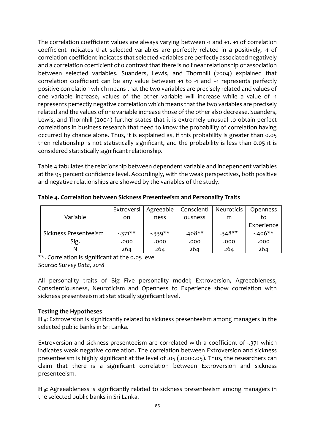The correlation coefficient values are always varying between -1 and +1. +1 of correlation coefficient indicates that selected variables are perfectly related in a positively, -1 of correlation coefficient indicates that selected variables are perfectly associated negatively and a correlation coefficient of 0 contrast that there is no linear relationship or association between selected variables. Suanders, Lewis, and Thornhill (2004) explained that correlation coefficient can be any value between +1 to -1 and +1 represents perfectly positive correlation which means that the two variables are precisely related and values of one variable increase, values of the other variable will increase while a value of -1 represents perfectly negative correlation which means that the two variables are precisely related and the values of one variable increase those of the other also decrease. Suanders, Lewis, and Thornhill (2004) further states that it is extremely unusual to obtain perfect correlations in business research that need to know the probability of correlation having occurred by chance alone. Thus, it is explained as, if this probability is greater than 0.05 then relationship is not statistically significant, and the probability is less than 0.05 it is considered statistically significant relationship.

Table 4 tabulates the relationship between dependent variable and independent variables at the 95 percent confidence level. Accordingly, with the weak perspectives, both positive and negative relationships are showed by the variables of the study.

**Table 4. Correlation between Sickness Presenteeism and Personality Traits**

|                       | Extroversi | Agreeable | Conscienti | Neuroticis | Openness   |
|-----------------------|------------|-----------|------------|------------|------------|
| Variable              | on         | ness      | ousness    | m          | to         |
|                       |            |           |            |            | Experience |
| Sickness Presenteeism | $-371***$  | $-339**$  | $.408**$   | $.348**$   | $-406**$   |
| Sig.                  | .000       | .000      | .000       | .000       | .000       |
|                       | 264        | 264       | 264        | 264        | 264        |

\*\*. Correlation is significant at the 0.05 level *Source: Survey Data, 2018*

All personality traits of Big Five personality model; Extroversion, Agreeableness, Conscientiousness, Neuroticism and Openness to Experience show correlation with sickness presenteeism at statistically significant level.

#### **Testing the Hypotheses**

**H1A**: Extroversion is significantly related to sickness presenteeism among managers in the selected public banks in Sri Lanka.

Extroversion and sickness presenteeism are correlated with a coefficient of -.371 which indicates weak negative correlation. The correlation between Extroversion and sickness presenteeism is highly significant at the level of .05 (.000<.05). Thus, the researchers can claim that there is a significant correlation between Extroversion and sickness presenteeism.

H<sub>1B</sub>: Agreeableness is significantly related to sickness presenteeism among managers in the selected public banks in Sri Lanka.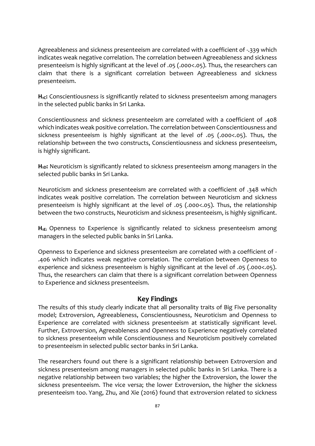Agreeableness and sickness presenteeism are correlated with a coefficient of -.339 which indicates weak negative correlation. The correlation between Agreeableness and sickness presenteeism is highly significant at the level of .05 (.000<.05). Thus, the researchers can claim that there is a significant correlation between Agreeableness and sickness presenteeism.

H<sub>1C</sub>: Conscientiousness is significantly related to sickness presenteeism among managers in the selected public banks in Sri Lanka.

Conscientiousness and sickness presenteeism are correlated with a coefficient of .408 which indicates weak positive correlation. The correlation between Conscientiousness and sickness presenteeism is highly significant at the level of .05 (.000<.05). Thus, the relationship between the two constructs, Conscientiousness and sickness presenteeism, is highly significant.

**H1D:** Neuroticism is significantly related to sickness presenteeism among managers in the selected public banks in Sri Lanka.

Neuroticism and sickness presenteeism are correlated with a coefficient of .348 which indicates weak positive correlation. The correlation between Neuroticism and sickness presenteeism is highly significant at the level of .05 (.000<.05). Thus, the relationship between the two constructs, Neuroticism and sickness presenteeism, is highly significant.

H<sub>1E:</sub> Openness to Experience is significantly related to sickness presenteeism among managers in the selected public banks in Sri Lanka.

Openness to Experience and sickness presenteeism are correlated with a coefficient of - .406 which indicates weak negative correlation. The correlation between Openness to experience and sickness presenteeism is highly significant at the level of .05 (.000<.05). Thus, the researchers can claim that there is a significant correlation between Openness to Experience and sickness presenteeism.

#### **Key Findings**

The results of this study clearly indicate that all personality traits of Big Five personality model; Extroversion, Agreeableness, Conscientiousness, Neuroticism and Openness to Experience are correlated with sickness presenteeism at statistically significant level. Further, Extroversion, Agreeableness and Openness to Experience negatively correlated to sickness presenteeism while Conscientiousness and Neuroticism positively correlated to presenteeism in selected public sector banks in Sri Lanka.

The researchers found out there is a significant relationship between Extroversion and sickness presenteeism among managers in selected public banks in Sri Lanka. There is a negative relationship between two variables; the higher the Extroversion, the lower the sickness presenteeism. The vice versa; the lower Extroversion, the higher the sickness presenteeism too. Yang, Zhu, and Xie (2016) found that extroversion related to sickness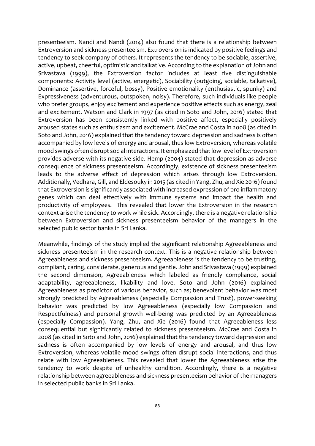presenteeism. Nandi and Nandi (2014) also found that there is a relationship between Extroversion and sickness presenteeism. Extroversion is indicated by positive feelings and tendency to seek company of others. It represents the tendency to be sociable, assertive, active, upbeat, cheerful, optimistic and talkative. According to the explanation of John and Srivastava (1999), the Extroversion factor includes at least five distinguishable components: Activity level (active, energetic), Sociability (outgoing, sociable, talkative), Dominance (assertive, forceful, bossy), Positive emotionality (enthusiastic, spunky) and Expressiveness (adventurous, outspoken, noisy). Therefore, such individuals like people who prefer groups, enjoy excitement and experience positive effects such as energy, zeal and excitement. Watson and Clark in 1997 (as cited in Soto and John, 2016) stated that Extroversion has been consistently linked with positive affect, especially positively aroused states such as enthusiasm and excitement. McCrae and Costa in 2008 (as cited in Soto and John, 2016) explained that the tendency toward depression and sadness is often accompanied by low levels of energy and arousal, thus low Extroversion, whereas volatile mood swings often disrupt social interactions. It emphasized that low level of Extroversion provides adverse with its negative side. Hemp (2004) stated that depression as adverse consequence of sickness presenteeism. Accordingly, existence of sickness presenteeism leads to the adverse effect of depression which arises through low Extroversion. Additionally, Vedhara, Gill, and Eldesouky in 2015 (as cited in Yang, Zhu, and Xie 2016) found that Extroversion is significantly associated with increased expression of pro inflammatory genes which can deal effectively with immune systems and impact the health and productivity of employees. This revealed that lower the Extroversion in the research context arise the tendency to work while sick. Accordingly, there is a negative relationship between Extroversion and sickness presenteeism behavior of the managers in the selected public sector banks in Sri Lanka.

Meanwhile, findings of the study implied the significant relationship Agreeableness and sickness presenteeism in the research context. This is a negative relationship between Agreeableness and sickness presenteeism. Agreeableness is the tendency to be trusting, compliant, caring, considerate, generous and gentle. John and Srivastava (1999) explained the second dimension, Agreeableness which labeled as friendly compliance, social adaptability, agreeableness, likability and love. Soto and John (2016) explained Agreeableness as predictor of various behavior, such as; benevolent behavior was most strongly predicted by Agreeableness (especially Compassion and Trust), power-seeking behavior was predicted by low Agreeableness (especially low Compassion and Respectfulness) and personal growth well-being was predicted by an Agreeableness (especially Compassion). Yang, Zhu, and Xie (2016) found that Agreeableness less consequential but significantly related to sickness presenteeism. McCrae and Costa in 2008 (as cited in Soto and John, 2016) explained that the tendency toward depression and sadness is often accompanied by low levels of energy and arousal, and thus low Extroversion, whereas volatile mood swings often disrupt social interactions, and thus relate with low Agreeableness. This revealed that lower the Agreeableness arise the tendency to work despite of unhealthy condition. Accordingly, there is a negative relationship between agreeableness and sickness presenteeism behavior of the managers in selected public banks in Sri Lanka.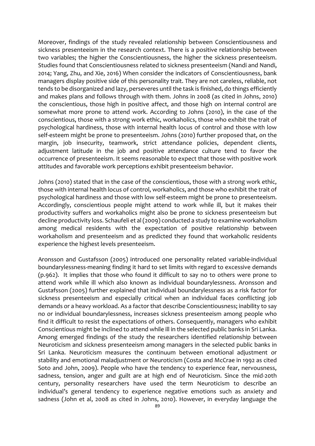Moreover, findings of the study revealed relationship between Conscientiousness and sickness presenteeism in the research context. There is a positive relationship between two variables; the higher the Conscientiousness, the higher the sickness presenteeism. Studies found that Conscientiousness related to sickness presenteeism (Nandi and Nandi, 2014; Yang, Zhu, and Xie, 2016) When consider the indicators of Conscientiousness, bank managers display positive side of this personality trait. They are not careless, reliable, not tends to be disorganized and lazy, perseveres until the task is finished, do things efficiently and makes plans and follows through with them. Johns in 2008 (as cited in Johns, 2010) the conscientious, those high in positive affect, and those high on internal control are somewhat more prone to attend work. According to Johns (2010), in the case of the conscientious, those with a strong work ethic, workaholics, those who exhibit the trait of psychological hardiness, those with internal health locus of control and those with low self-esteem might be prone to presenteeism. Johns (2010) further proposed that, on the margin, job insecurity, teamwork, strict attendance policies, dependent clients, adjustment latitude in the job and positive attendance culture tend to favor the occurrence of presenteeism. It seems reasonable to expect that those with positive work attitudes and favorable work perceptions exhibit presenteeism behavior.

Johns (2010) stated that in the case of the conscientious, those with a strong work ethic, those with internal health locus of control, workaholics, and those who exhibit the trait of psychological hardiness and those with low self-esteem might be prone to presenteeism. Accordingly, conscientious people might attend to work while ill, but it makes their productivity suffers and workaholics might also be prone to sickness presenteeism but decline productivity loss. Schaufeli et al(2009) conducted a study to examine workaholism among medical residents with the expectation of positive relationship between workaholism and presenteeism and as predicted they found that workaholic residents experience the highest levels presenteeism.

Aronsson and Gustafsson (2005) introduced one personality related variable-individual boundarylessness-meaning finding it hard to set limits with regard to excessive demands (p.962). It implies that those who found it difficult to say no to others were prone to attend work while ill which also known as individual boundarylessness. Aronsson and Gustafsson (2005) further explained that individual boundarylessness as a risk factor for sickness presenteeism and especially critical when an individual faces conflicting job demands or a heavy workload. As a factor that describe Conscientiousness; inability to say no or individual boundarylessness, increases sickness presenteeism among people who find it difficult to resist the expectations of others. Consequently, managers who exhibit Conscientious might be inclined to attend while ill in the selected public banks in Sri Lanka. Among emerged findings of the study the researchers identified relationship between Neuroticism and sickness presenteeism among managers in the selected public banks in Sri Lanka. Neuroticism measures the continuum between emotional adjustment or stability and emotional maladjustment or Neuroticism (Costa and McCrae in 1992 as cited Soto and John, 2009). People who have the tendency to experience fear, nervousness, sadness, tension, anger and guilt are at high end of Neuroticism. Since the mid-20th century, personality researchers have used the term Neuroticism to describe an individual's general tendency to experience negative emotions such as anxiety and sadness (John et al, 2008 as cited in Johns, 2010). However, in everyday language the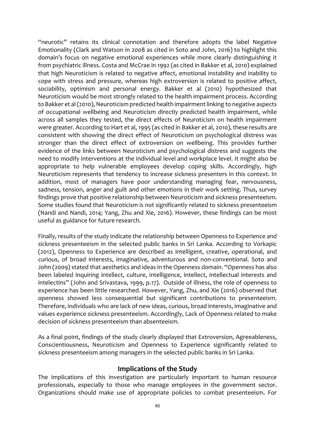"neurotic" retains its clinical connotation and therefore adopts the label Negative Emotionality (Clark and Watson in 2008 as cited in Soto and John, 2016) to highlight this domain's focus on negative emotional experiences while more clearly distinguishing it from psychiatric illness. Costa and McCrae in 1992 (as cited in Bakker et al, 2010) explained that high Neuroticism is related to negative affect, emotional instability and inability to cope with stress and pressure, whereas high extroversion is related to positive affect, sociability, optimism and personal energy. Bakker et al (2010) hypothesized that Neuroticism would be most strongly related to the health impairment process. According to Bakker et al (2010), Neuroticism predicted health impairment linking to negative aspects of occupational wellbeing and Neuroticism directly predicted health impairment, while across all samples they tested, the direct effects of Neuroticism on health impairment were greater. According to Hart et al, 1995 (as cited in Bakker et al, 2010), these results are consistent with showing the direct effect of Neuroticism on psychological distress was stronger than the direct effect of extroversion on wellbeing. This provides further evidence of the links between Neuroticism and psychological distress and suggests the need to modify interventions at the individual level and workplace level. It might also be appropriate to help vulnerable employees develop coping skills. Accordingly, high Neuroticism represents that tendency to increase sickness presenters in this context. In addition, most of managers have poor understanding managing fear, nervousness, sadness, tension, anger and guilt and other emotions in their work setting. Thus, survey findings prove that positive relationship between Neuroticism and sickness presenteeism. Some studies found that Neuroticism is not significantly related to sickness presenteeism (Nandi and Nandi, 2014; Yang, Zhu and Xie, 2016). However, these findings can be most useful as guidance for future research.

Finally, results of the study indicate the relationship between Openness to Experience and sickness presenteeism in the selected public banks in Sri Lanka. According to Vorkapic (2012), Openness to Experience are described as intelligent, creative, operational, and curious, of broad interests, imaginative, adventurous and non-conventional. Soto and John (2009) stated that aesthetics and ideas in the Openness domain. "Openness has also been labeled inquiring intellect, culture, intelligence, intellect, intellectual interests and intelectins" (John and Srivastava, 1999, p.17). Outside of illness, the role of openness to experience has been little researched. However, Yang, Zhu, and Xie (2016) observed that openness showed less consequential but significant contributions to presenteeism. Therefore, individuals who are lack of new ideas, curious, broad interests, imaginative and values experience sickness presenteeism. Accordingly, Lack of Openness related to make decision of sickness presenteeism than absenteeism.

As a final point, findings of the study clearly displayed that Extroversion, Agreeableness, Conscientiousness, Neuroticism and Openness to Experience significantly related to sickness presenteeism among managers in the selected public banks in Sri Lanka.

## **Implications of the Study**

The implications of this investigation are particularly important to human resource professionals, especially to those who manage employees in the government sector. Organizations should make use of appropriate policies to combat presenteeism. For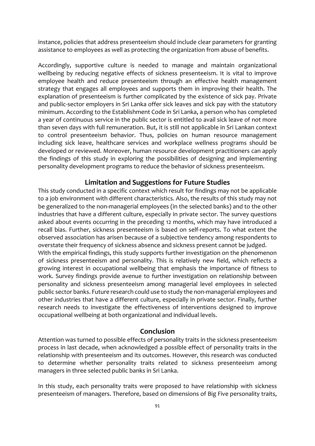instance, policies that address presenteeism should include clear parameters for granting assistance to employees as well as protecting the organization from abuse of benefits.

Accordingly, supportive culture is needed to manage and maintain organizational wellbeing by reducing negative effects of sickness presenteeism. It is vital to improve employee health and reduce presenteeism through an effective health management strategy that engages all employees and supports them in improving their health. The explanation of presenteeism is further complicated by the existence of sick pay. Private and public-sector employers in Sri Lanka offer sick leaves and sick pay with the statutory minimum. According to the Establishment Code in Sri Lanka, a person who has completed a year of continuous service in the public sector is entitled to avail sick leave of not more than seven days with full remuneration. But, it is still not applicable in Sri Lankan context to control presenteeism behavior. Thus, policies on human resource management including sick leave, healthcare services and workplace wellness programs should be developed or reviewed. Moreover, human resource development practitioners can apply the findings of this study in exploring the possibilities of designing and implementing personality development programs to reduce the behavior of sickness presenteeism.

#### **Limitation and Suggestions for Future Studies**

This study conducted in a specific context which result for findings may not be applicable to a job environment with different characteristics. Also, the results of this study may not be generalized to the non-managerial employees (in the selected banks) and to the other industries that have a different culture, especially in private sector. The survey questions asked about events occurring in the preceding 12 months, which may have introduced a recall bias. Further, sickness presenteeism is based on self-reports. To what extent the observed association has arisen because of a subjective tendency among respondents to overstate their frequency of sickness absence and sickness present cannot be judged. With the empirical findings, this study supports further investigation on the phenomenon of sickness presenteeism and personality. This is relatively new field, which reflects a growing interest in occupational wellbeing that emphasis the importance of fitness to work. Survey findings provide avenue to further investigation on relationship between personality and sickness presenteeism among managerial level employees in selected public sector banks. Future research could use to study the non-managerial employees and other industries that have a different culture, especially in private sector. Finally, further research needs to investigate the effectiveness of interventions designed to improve occupational wellbeing at both organizational and individual levels.

#### **Conclusion**

Attention was turned to possible effects of personality traits in the sickness presenteeism process in last decade, when acknowledged a possible effect of personality traits in the relationship with presenteeism and its outcomes. However, this research was conducted to determine whether personality traits related to sickness presenteeism among managers in three selected public banks in Sri Lanka.

In this study, each personality traits were proposed to have relationship with sickness presenteeism of managers. Therefore, based on dimensions of Big Five personality traits,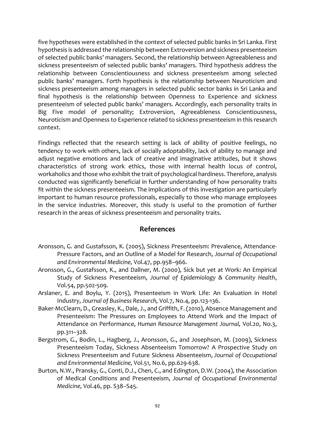five hypotheses were established in the context of selected public banks in Sri Lanka. First hypothesis is addressed the relationship between Extroversion and sickness presenteeism of selected public banks' managers. Second, the relationship between Agreeableness and sickness presenteeism of selected public banks' managers. Third hypothesis address the relationship between Conscientiousness and sickness presenteeism among selected public banks' managers. Forth hypothesis is the relationship between Neuroticism and sickness presenteeism among managers in selected public sector banks in Sri Lanka and final hypothesis is the relationship between Openness to Experience and sickness presenteeism of selected public banks' managers. Accordingly, each personality traits in Big Five model of personality; Extroversion, Agreeableness Conscientiousness, Neuroticism and Openness to Experience related to sickness presenteeism in this research context.

Findings reflected that the research setting is lack of ability of positive feelings, no tendency to work with others, lack of socially adoptability, lack of ability to manage and adjust negative emotions and lack of creative and imaginative attitudes, but it shows characteristics of strong work ethics, those with internal health locus of control, workaholics and those who exhibit the trait of psychological hardiness. Therefore, analysis conducted was significantly beneficial in further understanding of how personality traits fit within the sickness presenteeism. The implications of this investigation are particularly important to human resource professionals, especially to those who manage employees in the service industries. Moreover, this study is useful to the promotion of further research in the areas of sickness presenteeism and personality traits.

#### **References**

- Aronsson, G. and Gustafsson, K. (2005), Sickness Presenteeism: Prevalence, Attendance-Pressure Factors, and an Outline of a Model for Research, *Journal of Occupational and Environmental Medicine,* Vol.47, pp.958–966.
- Aronsson, G., Gustafsson, K., and Dallner, M. (2000), Sick but yet at Work: An Empirical Study of Sickness Presenteeism, *Journal of Epidemiology & Community Health*, Vol.54, pp.502-509.
- Arslaner, E. and Boylu, Y. (2015), Presenteeism in Work Life: An Evaluation in Hotel Industry, *Journal of Business Research,* Vol.7, No.4, pp.123-136.
- Baker-McClearn, D., Greasley, K., Dale, J., and Griffith, F. (2010), Absence Management and Presenteeism: The Pressures on Employees to Attend Work and the Impact of Attendance on Performance, *Human Resource Management Journal,* Vol.20, No.3, pp.311–328.
- Bergstrom, G., Bodin, L., Hagberg, J., Aronsson, G., and Josephson, M. (2009), Sickness Presenteeism Today, Sickness Absenteeism Tomorrow? A Prospective Study on Sickness Presenteeism and Future Sickness Absenteeism, *Journal of Occupational and Environmental Medicine,* Vol.51, No.6, pp.629-638.
- Burton, N.W., Pransky, G., Conti, D.J., Chen, C., and Edington, D.W. (2004), the Association of Medical Conditions and Presenteeism, *Journal of Occupational Environmental Medicine,* Vol.46, pp. S38–S45.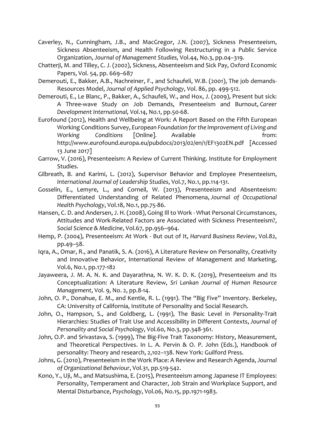- Caverley, N., Cunningham, J.B., and MacGregor, J.N. (2007), Sickness Presenteeism, Sickness Absenteeism, and Health Following Restructuring in a Public Service Organization, *Journal of Management Studies,* Vol.44, No.3, pp.04–319.
- Chatterji, M. and Tilley, C. J. (2002), Sickness, Absenteeism and Sick Pay, Oxford Economic Papers, Vol. 54, pp. 669–687
- Demerouti, E., Bakker, A.B., Nachreiner, F., and Schaufeli, W.B. (2001), The job demands-Resources Model, *Journal of Applied Psychology*, Vol. 86, pp. 499-512.
- Demerouti, E., Le Blanc, P., Bakker, A., Schaufeli, W., and Hox, J. (2009), Present but sick: A Three‐wave Study on Job Demands, Presenteeism and Burnout, *Career Development International,* Vol.14, No.1, pp.50-68.
- Eurofound (2012), Health and Wellbeing at Work: A Report Based on the Fifth European Working Conditions Survey, *European Foundation for the Improvement of Living and*  Working Conditions [Online]. Available many of the from: http://www.eurofound.europa.eu/pubdocs/2013/02/en/1/EF1302EN.pdf [Accessed 13 June 2017]
- Garrow, V. (2016), Presenteeism: A Review of Current Thinking. Institute for Employment Studies.
- Gilbreath, B. and Karimi, L. (2012), Supervisor Behavior and Employee Presenteeism, *International Journal of Leadership Studies*, Vol.7, No.1, pp.114-131.
- Gosselin, E., Lemyre, L., and Corneil, W. (2013), Presenteeism and Absenteeism: Differentiated Understanding of Related Phenomena, *Journal of Occupational Health Psychology*, Vol.18, No.1, pp.75-86.
- Hansen, C. D. and Andersen, J. H. (2008), Going Ill to Work What Personal Circumstances, Attitudes and Work-Related Factors are Associated with Sickness Presenteeism?, *Social Science & Medicine*, Vol.67, pp.956–964.
- Hemp, P. (2004), Presenteeism: At Work But out of It, *Harvard Business Review*, Vol.82, pp.49–58.
- Iqra, A., Omar, R., and Panatik, S. A. (2016), A Literature Review on Personality, Creativity and Innovative Behavior, International Review of Management and Marketing, Vol.6, No.1, pp.177-182
- Jayaweera, J. M. A. N. K. and Dayarathna, N. W. K. D. K. (2019), Presenteeism and Its Conceptualization: A Literature Review, *Sri Lankan Journal of Human Resource Management*, Vol. 9, No. 2, pp.8-14.
- John, O. P., Donahue, E. M., and Kentle, R. L. (1991). The "Big Five" Inventory. Berkeley, CA: University of California, Institute of Personality and Social Research.
- John, O., Hampson, S., and Goldberg, L. (1991), The Basic Level in Personality-Trait Hierarchies: Studies of Trait Use and Accessibility in Different Contexts, *Journal of Personality and Social Psychology*, Vol.60, No.3, pp.348-361.
- John, O.P. and Srivastava, S. (1999), The Big-Five Trait Taxonomy: History, Measurement, and Theoretical Perspectives. In L. A. Pervin & O. P. John (Eds.), Handbook of personality: Theory and research, 2,102–138. New York: Guilford Press.
- Johns, G. (2010), Presenteeism in the Work Place: A Review and Research Agenda, *Journal of Organizational Behaviour*, Vol.31, pp.519-542.
- Kono, Y., Uji, M., and Matsushima, E. (2015), Presenteeism among Japanese IT Employees: Personality, Temperament and Character, Job Strain and Workplace Support, and Mental Disturbance, *Psychology*, Vol.06, No.15, pp.1971-1983.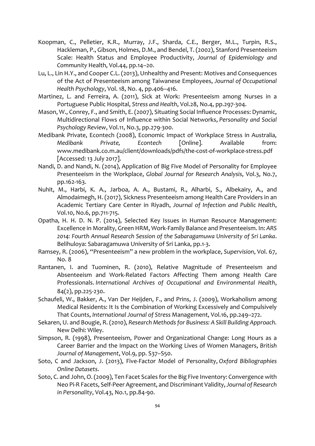- Koopman, C., Pelletier, K.R., Murray, J.F., Sharda, C.E., Berger, M.L., Turpin, R.S., Hackleman, P., Gibson, Holmes, D.M., and Bendel, T. (2002), Stanford Presenteeism Scale: Health Status and Employee Productivity, *Journal of Epidemiology and Community* Health, Vol.44, pp.14–20.
- Lu, L., Lin H.Y., and Cooper C.L. (2013), Unhealthy and Present: Motives and Consequences of the Act of Presenteeism among Taiwanese Employees, *Journal of Occupational Health Psychology*, Vol. 18, No. 4, pp.406–416.
- Martinez, L. and Ferreira, A. (2011), Sick at Work: Presenteeism among Nurses in a Portuguese Public Hospital, *Stress and Health*, Vol.28, No.4, pp.297-304.
- Mason, W., Conrey, F., and Smith, E. (2007), Situating Social Influence Processes: Dynamic, Multidirectional Flows of Influence within Social Networks, *Personality and Social Psychology Review*, Vol.11, No.3, pp.279-300.
- Medibank Private, Econtech (2008), Economic Impact of Workplace Stress in Australia*, Medibank Private, Econtech* [Online]. Available from: www.medibank.co.m.au/client/downloads/pdfs/the-cost-of-workplace-stress.pdf [Accessed: 13 July 2017].
- Nandi, D. and Nandi, N. (2014), Application of Big Five Model of Personality for Employee Presenteeism in the Workplace, *Global Journal for Research Analysis*, Vol.3, No.7, pp.162-163.
- Nuhit, M., Harbi, K. A., Jarboa, A. A., Bustami, R., Alharbi, S., Albekairy, A., and Almodaimegh, H. (2017), Sickness Presenteeism among Health Care Providers in an Academic Tertiary Care Center in Riyadh, *Journal of Infection and Public Health*, Vol.10, No.6, pp.711-715.
- Opatha, H. H. D. N. P. (2014), Selected Key Issues in Human Resource Management: Excellence in Morality, Green HRM, Work-Family Balance and Presenteeism. In: *ARS 2014: Fourth Annual Research Session of the Sabaragamuwa University of Sri Lanka*. Belihuloya: Sabaragamuwa University of Sri Lanka, pp.1-3.
- Ramsey, R. (2006), "Presenteeism" a new problem in the workplace, *Supervision*, Vol. 67, No. 8
- Rantanen, I. and Tuominen, R. (2010), Relative Magnitude of Presenteeism and Absenteeism and Work-Related Factors Affecting Them among Health Care Professionals. *International Archives of Occupational and Environmental Health*, 84(2), pp.225-230.
- Schaufeli, W., Bakker, A., Van Der Heijden, F., and Prins, J. (2009), Workaholism among Medical Residents: It Is the Combination of Working Excessively and Compulsively That Counts, *International Journal of Stress* Management, Vol.16, pp.249–272.
- Sekaren, U. and Bougie, R. (2010), *Research Methods for Business: A Skill Building Approach.* New Delhi: Wiley.
- Simpson, R. (1998), Presenteeism, Power and Organizational Change: Long Hours as a Career Barrier and the Impact on the Working Lives of Women Managers, *British Journal of Management*, Vol.9, pp. S37–S50.
- Soto, C and Jackson, J. (2013), Five-Factor Model of Personality, *Oxford Bibliographies Online Datasets*.
- Soto, C. and John, O. (2009), Ten Facet Scales for the Big Five Inventory: Convergence with Neo Pi-R Facets, Self-Peer Agreement, and Discriminant Validity, *Journal of Research in Personality*, Vol.43, No.1, pp.84-90.